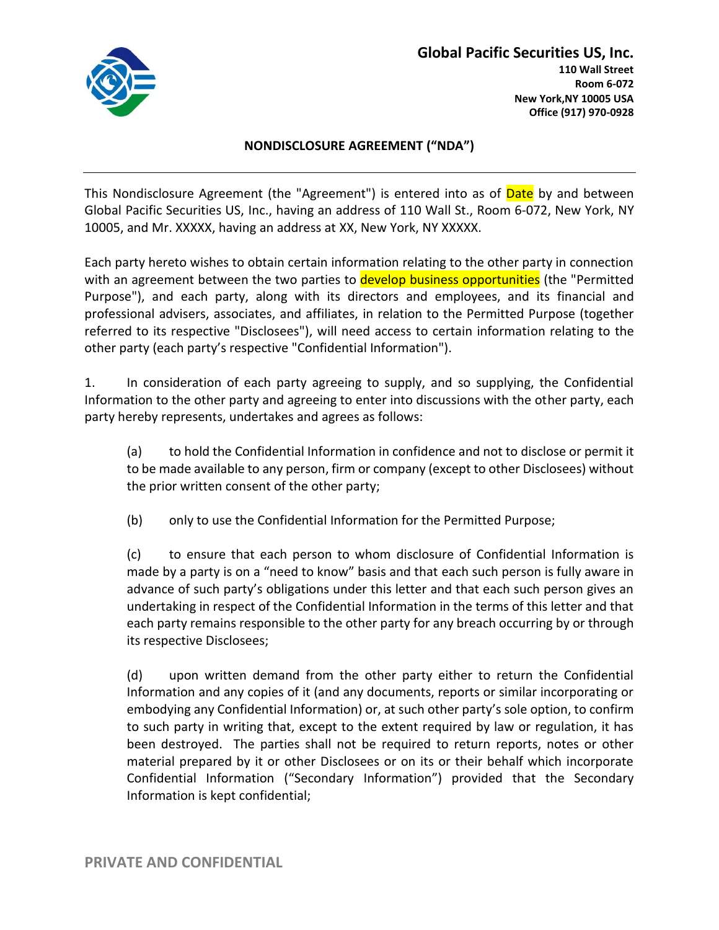

## **Global Pacific Securities US, Inc. 110 Wall Street Room 6-072**

# **New York,NY 10005 USA Office (917) 970-0928**

### **NONDISCLOSURE AGREEMENT ("NDA")**

This Nondisclosure Agreement (the "Agreement") is entered into as of Date by and between Global Pacific Securities US, Inc., having an address of 110 Wall St., Room 6-072, New York, NY 10005, and Mr. XXXXX, having an address at XX, New York, NY XXXXX.

Each party hereto wishes to obtain certain information relating to the other party in connection with an agreement between the two parties to develop business opportunities (the "Permitted Purpose"), and each party, along with its directors and employees, and its financial and professional advisers, associates, and affiliates, in relation to the Permitted Purpose (together referred to its respective "Disclosees"), will need access to certain information relating to the other party (each party's respective "Confidential Information").

1. In consideration of each party agreeing to supply, and so supplying, the Confidential Information to the other party and agreeing to enter into discussions with the other party, each party hereby represents, undertakes and agrees as follows:

(a) to hold the Confidential Information in confidence and not to disclose or permit it to be made available to any person, firm or company (except to other Disclosees) without the prior written consent of the other party;

(b) only to use the Confidential Information for the Permitted Purpose;

(c) to ensure that each person to whom disclosure of Confidential Information is made by a party is on a "need to know" basis and that each such person is fully aware in advance of such party's obligations under this letter and that each such person gives an undertaking in respect of the Confidential Information in the terms of this letter and that each party remains responsible to the other party for any breach occurring by or through its respective Disclosees;

(d) upon written demand from the other party either to return the Confidential Information and any copies of it (and any documents, reports or similar incorporating or embodying any Confidential Information) or, at such other party's sole option, to confirm to such party in writing that, except to the extent required by law or regulation, it has been destroyed. The parties shall not be required to return reports, notes or other material prepared by it or other Disclosees or on its or their behalf which incorporate Confidential Information ("Secondary Information") provided that the Secondary Information is kept confidential;

**PRIVATE AND CONFIDENTIAL**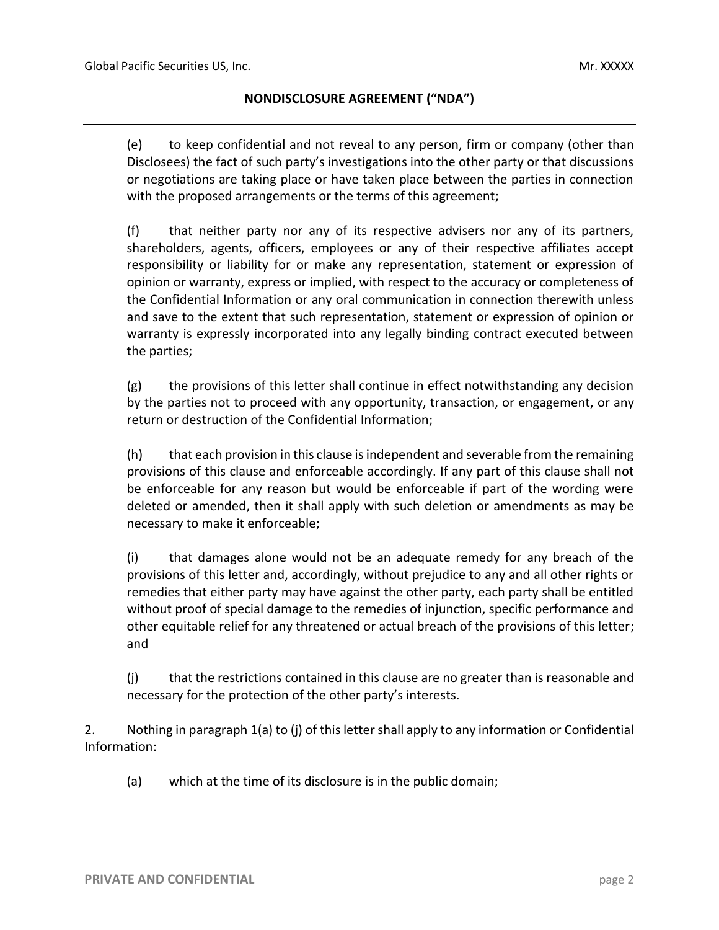#### **NONDISCLOSURE AGREEMENT ("NDA")**

(e) to keep confidential and not reveal to any person, firm or company (other than Disclosees) the fact of such party's investigations into the other party or that discussions or negotiations are taking place or have taken place between the parties in connection with the proposed arrangements or the terms of this agreement;

(f) that neither party nor any of its respective advisers nor any of its partners, shareholders, agents, officers, employees or any of their respective affiliates accept responsibility or liability for or make any representation, statement or expression of opinion or warranty, express or implied, with respect to the accuracy or completeness of the Confidential Information or any oral communication in connection therewith unless and save to the extent that such representation, statement or expression of opinion or warranty is expressly incorporated into any legally binding contract executed between the parties;

(g) the provisions of this letter shall continue in effect notwithstanding any decision by the parties not to proceed with any opportunity, transaction, or engagement, or any return or destruction of the Confidential Information;

(h) that each provision in this clause is independent and severable from the remaining provisions of this clause and enforceable accordingly. If any part of this clause shall not be enforceable for any reason but would be enforceable if part of the wording were deleted or amended, then it shall apply with such deletion or amendments as may be necessary to make it enforceable;

(i) that damages alone would not be an adequate remedy for any breach of the provisions of this letter and, accordingly, without prejudice to any and all other rights or remedies that either party may have against the other party, each party shall be entitled without proof of special damage to the remedies of injunction, specific performance and other equitable relief for any threatened or actual breach of the provisions of this letter; and

(j) that the restrictions contained in this clause are no greater than is reasonable and necessary for the protection of the other party's interests.

2. Nothing in paragraph 1(a) to (j) of this letter shall apply to any information or Confidential Information:

(a) which at the time of its disclosure is in the public domain;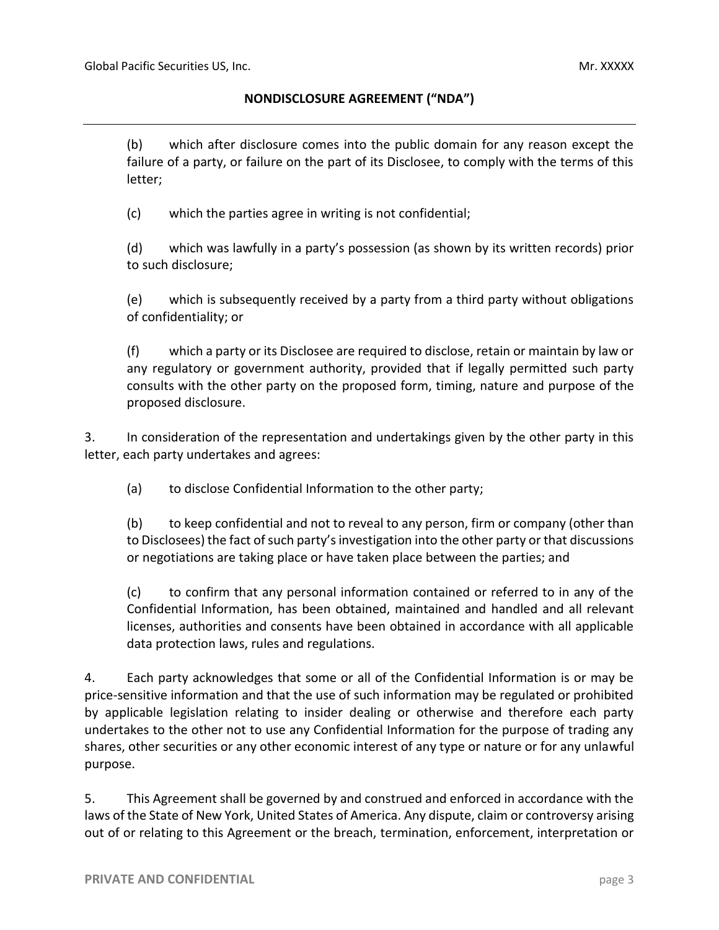#### **NONDISCLOSURE AGREEMENT ("NDA")**

(b) which after disclosure comes into the public domain for any reason except the failure of a party, or failure on the part of its Disclosee, to comply with the terms of this letter;

(c) which the parties agree in writing is not confidential;

(d) which was lawfully in a party's possession (as shown by its written records) prior to such disclosure;

(e) which is subsequently received by a party from a third party without obligations of confidentiality; or

(f) which a party or its Disclosee are required to disclose, retain or maintain by law or any regulatory or government authority, provided that if legally permitted such party consults with the other party on the proposed form, timing, nature and purpose of the proposed disclosure.

3. In consideration of the representation and undertakings given by the other party in this letter, each party undertakes and agrees:

(a) to disclose Confidential Information to the other party;

(b) to keep confidential and not to reveal to any person, firm or company (other than to Disclosees) the fact of such party's investigation into the other party or that discussions or negotiations are taking place or have taken place between the parties; and

(c) to confirm that any personal information contained or referred to in any of the Confidential Information, has been obtained, maintained and handled and all relevant licenses, authorities and consents have been obtained in accordance with all applicable data protection laws, rules and regulations.

4. Each party acknowledges that some or all of the Confidential Information is or may be price-sensitive information and that the use of such information may be regulated or prohibited by applicable legislation relating to insider dealing or otherwise and therefore each party undertakes to the other not to use any Confidential Information for the purpose of trading any shares, other securities or any other economic interest of any type or nature or for any unlawful purpose.

5. This Agreement shall be governed by and construed and enforced in accordance with the laws of the State of New York, United States of America. Any dispute, claim or controversy arising out of or relating to this Agreement or the breach, termination, enforcement, interpretation or